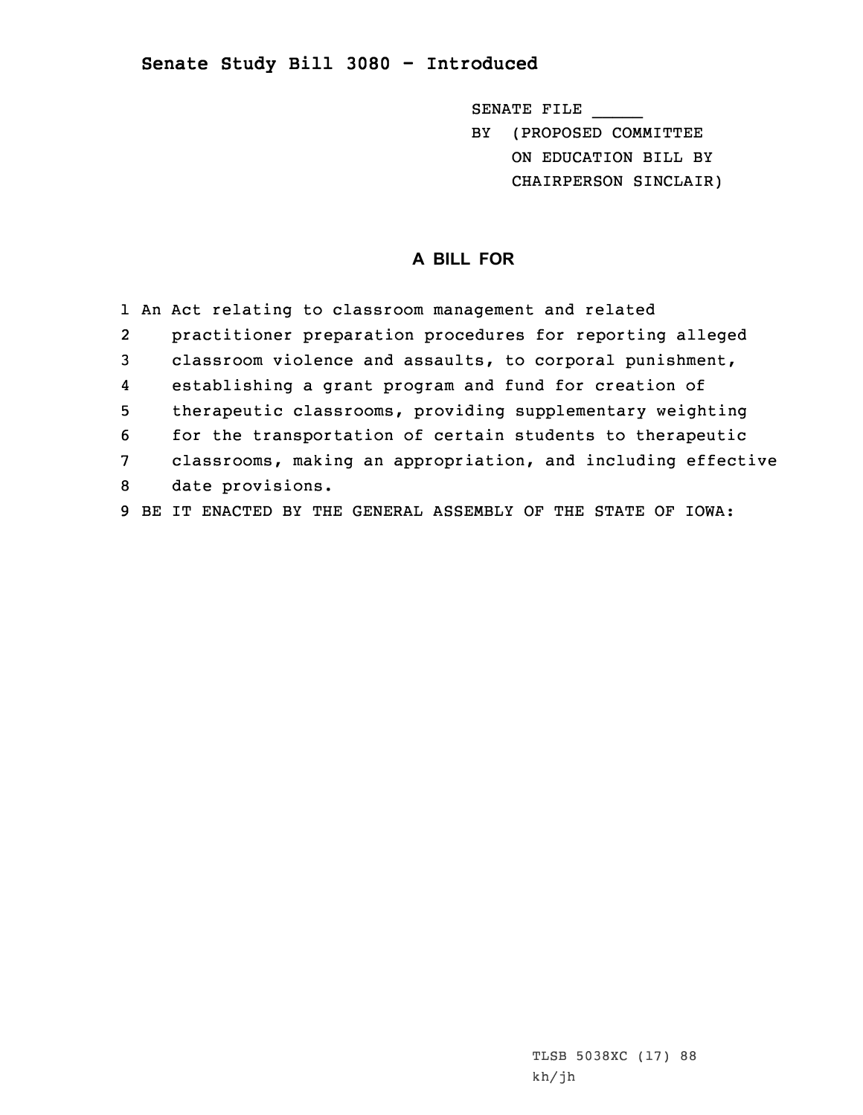## **Senate Study Bill 3080 - Introduced**

SENATE FILE \_\_\_\_\_ BY (PROPOSED COMMITTEE ON EDUCATION BILL BY

CHAIRPERSON SINCLAIR)

## **A BILL FOR**

|                  | 1 An Act relating to classroom management and related        |
|------------------|--------------------------------------------------------------|
| $\overline{2}$   | practitioner preparation procedures for reporting alleged    |
| 3                | classroom violence and assaults, to corporal punishment,     |
| $\boldsymbol{4}$ | establishing a grant program and fund for creation of        |
| 5                | therapeutic classrooms, providing supplementary weighting    |
| 6                | for the transportation of certain students to therapeutic    |
| 7                | classrooms, making an appropriation, and including effective |
| 8                | date provisions.                                             |
| 9                | IT ENACTED BY THE GENERAL ASSEMBLY OF THE STATE OF IOWA:     |

TLSB 5038XC (17) 88 kh/jh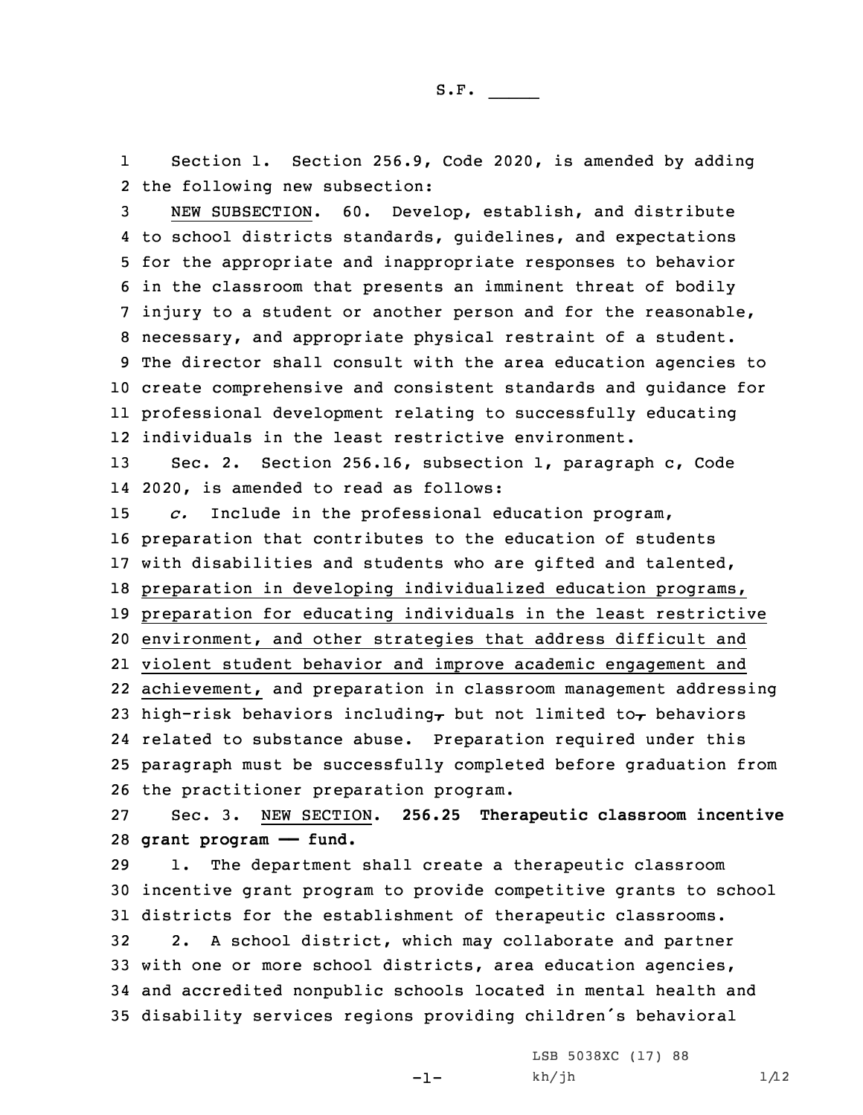1 Section 1. Section 256.9, Code 2020, is amended by adding 2 the following new subsection:

 NEW SUBSECTION. 60. Develop, establish, and distribute to school districts standards, guidelines, and expectations for the appropriate and inappropriate responses to behavior in the classroom that presents an imminent threat of bodily injury to <sup>a</sup> student or another person and for the reasonable, necessary, and appropriate physical restraint of <sup>a</sup> student. The director shall consult with the area education agencies to create comprehensive and consistent standards and guidance for professional development relating to successfully educating individuals in the least restrictive environment.

13 Sec. 2. Section 256.16, subsection 1, paragraph c, Code 14 2020, is amended to read as follows:

 *c.* Include in the professional education program, preparation that contributes to the education of students with disabilities and students who are gifted and talented, preparation in developing individualized education programs, preparation for educating individuals in the least restrictive environment, and other strategies that address difficult and violent student behavior and improve academic engagement and achievement, and preparation in classroom management addressing 23 high-risk behaviors including, but not limited to, behaviors related to substance abuse. Preparation required under this paragraph must be successfully completed before graduation from the practitioner preparation program.

27 Sec. 3. NEW SECTION. **256.25 Therapeutic classroom incentive** 28 **grant program —— fund.**

 1. The department shall create <sup>a</sup> therapeutic classroom incentive grant program to provide competitive grants to school districts for the establishment of therapeutic classrooms. 2. <sup>A</sup> school district, which may collaborate and partner with one or more school districts, area education agencies, and accredited nonpublic schools located in mental health and disability services regions providing children's behavioral

 $-1-$ 

LSB 5038XC (17) 88  $kh/jh$  1/12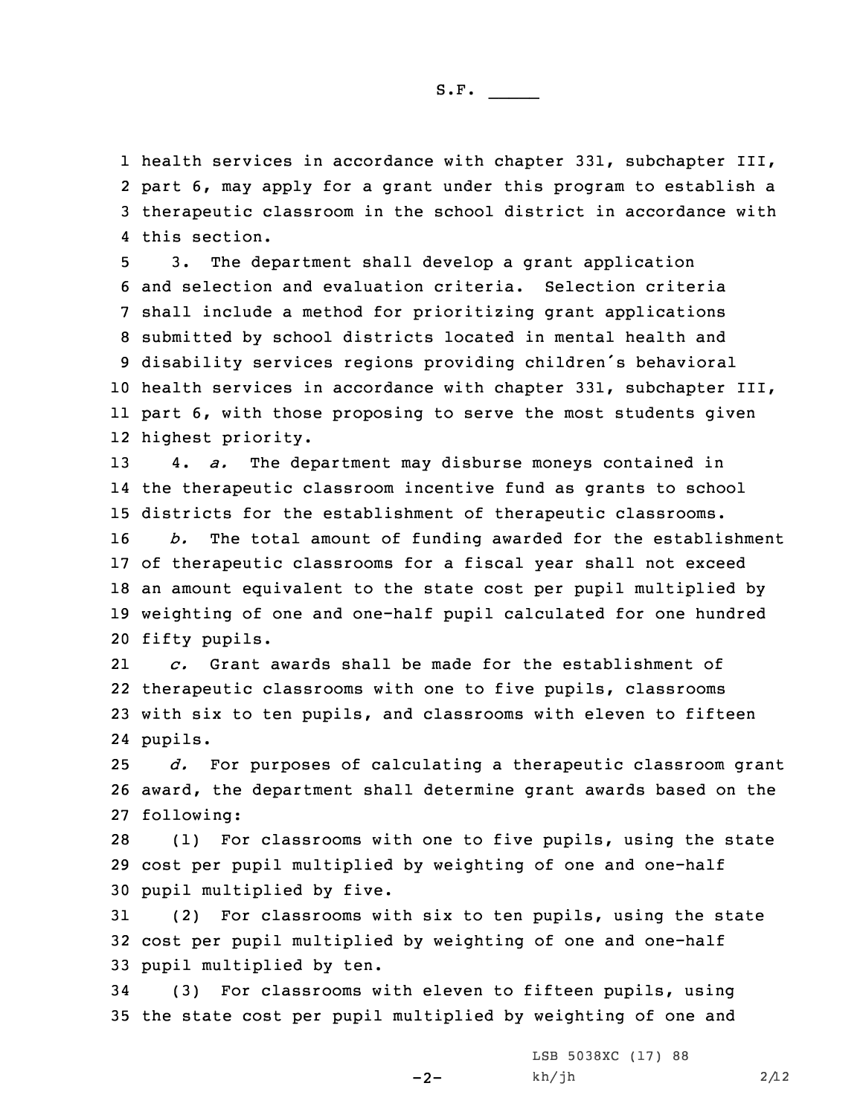health services in accordance with chapter 331, subchapter III, part 6, may apply for <sup>a</sup> grant under this program to establish <sup>a</sup> therapeutic classroom in the school district in accordance with this section.

 3. The department shall develop <sup>a</sup> grant application and selection and evaluation criteria. Selection criteria shall include <sup>a</sup> method for prioritizing grant applications submitted by school districts located in mental health and disability services regions providing children's behavioral health services in accordance with chapter 331, subchapter III, part 6, with those proposing to serve the most students given highest priority.

13 4. *a.* The department may disburse moneys contained in 14 the therapeutic classroom incentive fund as grants to school 15 districts for the establishment of therapeutic classrooms.

 *b.* The total amount of funding awarded for the establishment of therapeutic classrooms for <sup>a</sup> fiscal year shall not exceed an amount equivalent to the state cost per pupil multiplied by weighting of one and one-half pupil calculated for one hundred fifty pupils.

21 *c.* Grant awards shall be made for the establishment of 22 therapeutic classrooms with one to five pupils, classrooms 23 with six to ten pupils, and classrooms with eleven to fifteen 24 pupils.

25 *d.* For purposes of calculating <sup>a</sup> therapeutic classroom grant 26 award, the department shall determine grant awards based on the 27 following:

28 (1) For classrooms with one to five pupils, using the state 29 cost per pupil multiplied by weighting of one and one-half 30 pupil multiplied by five.

31 (2) For classrooms with six to ten pupils, using the state 32 cost per pupil multiplied by weighting of one and one-half 33 pupil multiplied by ten.

34 (3) For classrooms with eleven to fifteen pupils, using 35 the state cost per pupil multiplied by weighting of one and

 $-2-$ 

LSB 5038XC (17) 88  $kh/jh$  2/12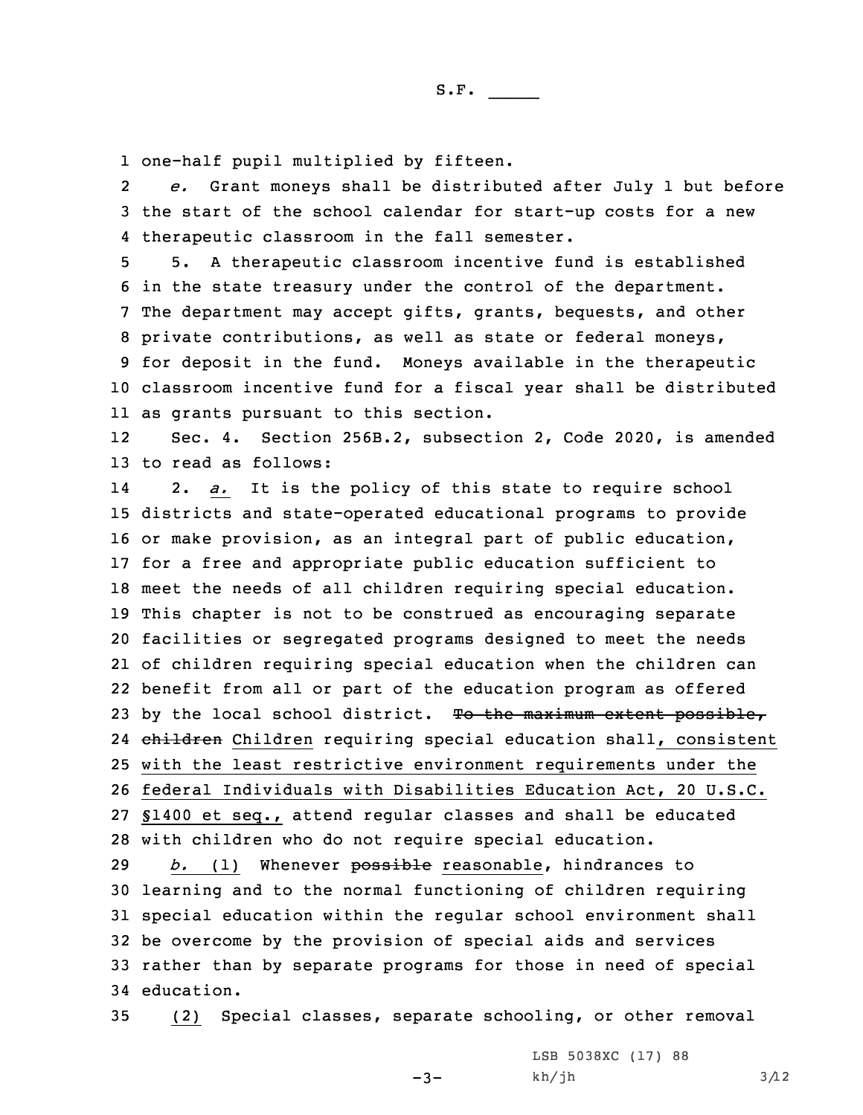1 one-half pupil multiplied by fifteen.

2 *e.* Grant moneys shall be distributed after July 1 but before 3 the start of the school calendar for start-up costs for <sup>a</sup> new 4 therapeutic classroom in the fall semester.

 5. <sup>A</sup> therapeutic classroom incentive fund is established in the state treasury under the control of the department. The department may accept gifts, grants, bequests, and other private contributions, as well as state or federal moneys, for deposit in the fund. Moneys available in the therapeutic classroom incentive fund for <sup>a</sup> fiscal year shall be distributed as grants pursuant to this section.

12 Sec. 4. Section 256B.2, subsection 2, Code 2020, is amended 13 to read as follows:

14 2. *a.* It is the policy of this state to require school districts and state-operated educational programs to provide or make provision, as an integral part of public education, for <sup>a</sup> free and appropriate public education sufficient to meet the needs of all children requiring special education. This chapter is not to be construed as encouraging separate facilities or segregated programs designed to meet the needs of children requiring special education when the children can benefit from all or part of the education program as offered 23 by the local school district. To the maximum extent possible, 24 children Children requiring special education shall, consistent with the least restrictive environment requirements under the federal Individuals with Disabilities Education Act, 20 U.S.C. §1400 et seq., attend regular classes and shall be educated with children who do not require special education.

*b.* (1) Whenever possible reasonable, hindrances to learning and to the normal functioning of children requiring special education within the regular school environment shall be overcome by the provision of special aids and services rather than by separate programs for those in need of special education.

35 (2) Special classes, separate schooling, or other removal

 $-3-$ 

LSB 5038XC (17) 88  $kh/jh$  3/12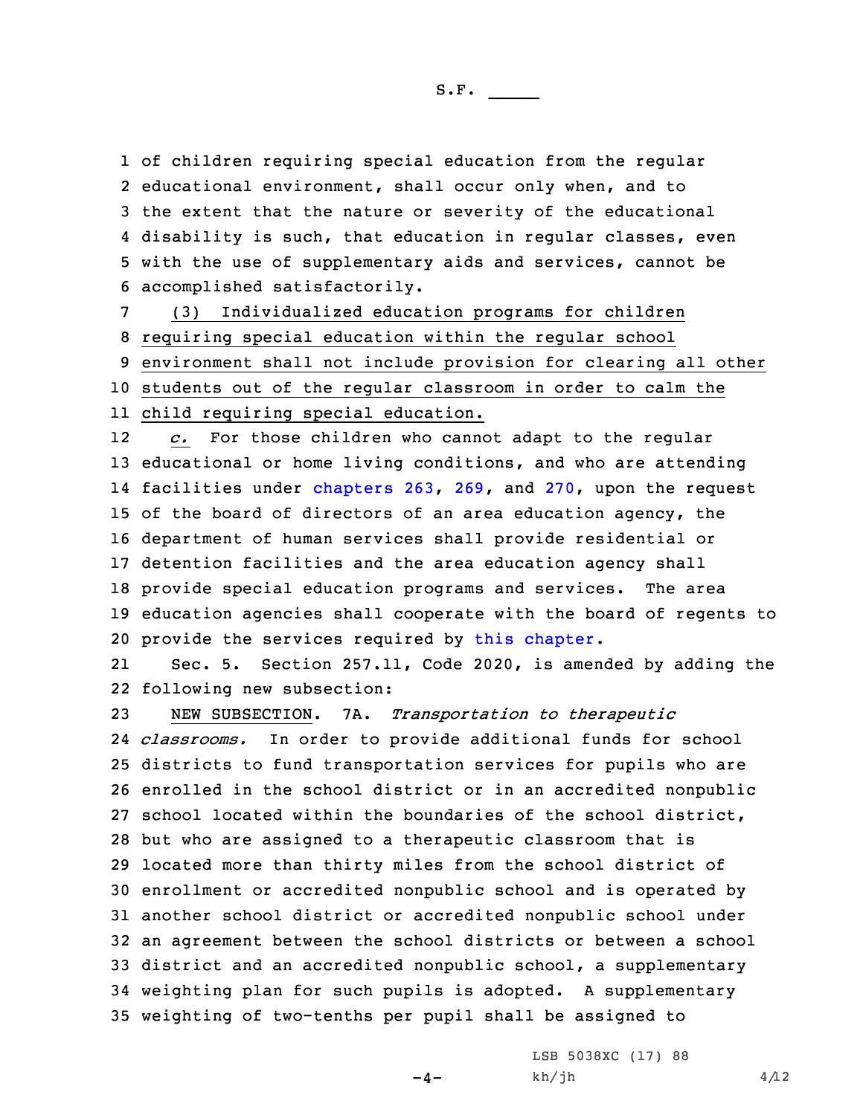of children requiring special education from the regular educational environment, shall occur only when, and to the extent that the nature or severity of the educational disability is such, that education in regular classes, even with the use of supplementary aids and services, cannot be accomplished satisfactorily.

 (3) Individualized education programs for children requiring special education within the regular school environment shall not include provision for clearing all other students out of the regular classroom in order to calm the child requiring special education.

12 *c.* For those children who cannot adapt to the regular educational or home living conditions, and who are attending facilities under [chapters](https://www.legis.iowa.gov/docs/code/2020/263.pdf) 263, [269](https://www.legis.iowa.gov/docs/code/2020/269.pdf), and [270](https://www.legis.iowa.gov/docs/code/2020/270.pdf), upon the request of the board of directors of an area education agency, the department of human services shall provide residential or detention facilities and the area education agency shall provide special education programs and services. The area education agencies shall cooperate with the board of regents to provide the services required by this [chapter](https://www.legis.iowa.gov/docs/code/2020/256B.pdf).

21 Sec. 5. Section 257.11, Code 2020, is amended by adding the 22 following new subsection:

 NEW SUBSECTION. 7A. *Transportation to therapeutic classrooms.* In order to provide additional funds for school districts to fund transportation services for pupils who are enrolled in the school district or in an accredited nonpublic school located within the boundaries of the school district, but who are assigned to <sup>a</sup> therapeutic classroom that is located more than thirty miles from the school district of enrollment or accredited nonpublic school and is operated by another school district or accredited nonpublic school under an agreement between the school districts or between <sup>a</sup> school district and an accredited nonpublic school, <sup>a</sup> supplementary weighting plan for such pupils is adopted. <sup>A</sup> supplementary weighting of two-tenths per pupil shall be assigned to

 $-4-$ 

LSB 5038XC (17) 88  $kh/jh$  4/12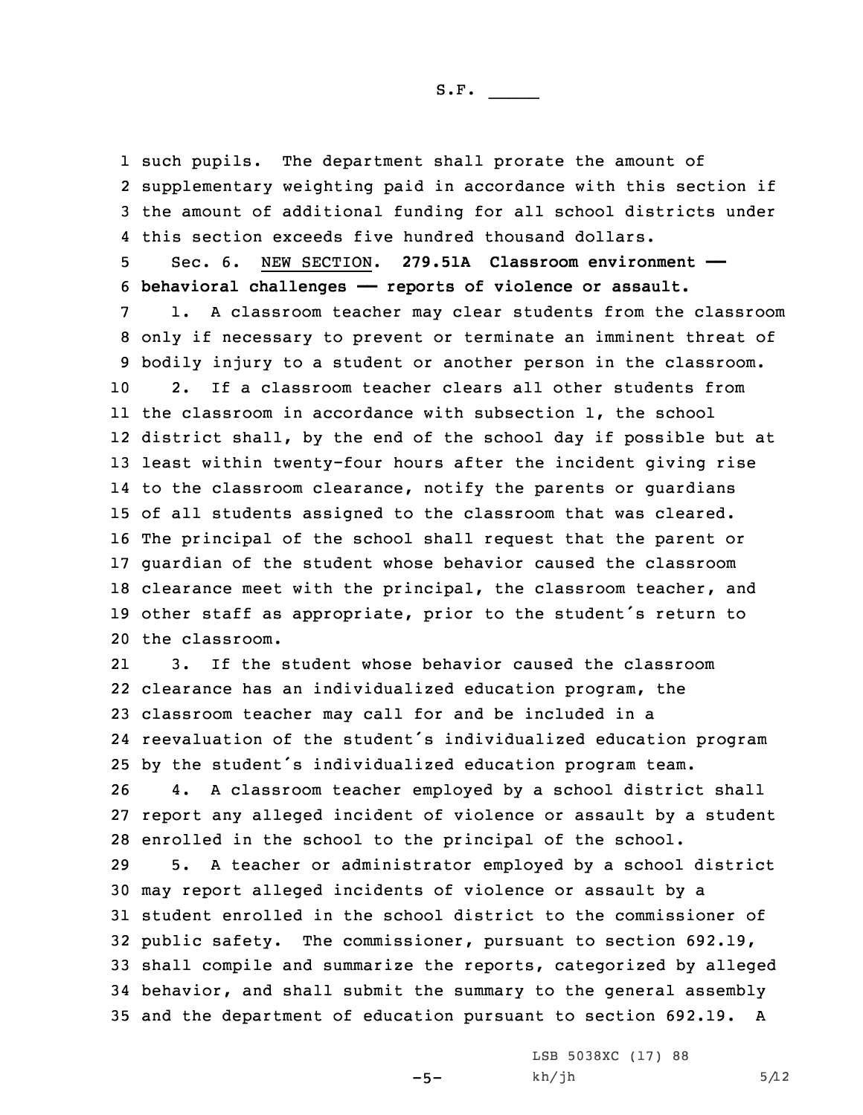such pupils. The department shall prorate the amount of supplementary weighting paid in accordance with this section if the amount of additional funding for all school districts under this section exceeds five hundred thousand dollars.

5 Sec. 6. NEW SECTION. **279.51A Classroom environment ——** 6 **behavioral challenges —— reports of violence or assault.**

 1. <sup>A</sup> classroom teacher may clear students from the classroom only if necessary to prevent or terminate an imminent threat of bodily injury to <sup>a</sup> student or another person in the classroom. 2. If a classroom teacher clears all other students from the classroom in accordance with subsection 1, the school district shall, by the end of the school day if possible but at least within twenty-four hours after the incident giving rise to the classroom clearance, notify the parents or guardians of all students assigned to the classroom that was cleared. The principal of the school shall request that the parent or guardian of the student whose behavior caused the classroom clearance meet with the principal, the classroom teacher, and other staff as appropriate, prior to the student's return to the classroom.

21 3. If the student whose behavior caused the classroom clearance has an individualized education program, the classroom teacher may call for and be included in <sup>a</sup> reevaluation of the student's individualized education program by the student's individualized education program team.

26 4. <sup>A</sup> classroom teacher employed by <sup>a</sup> school district shall 27 report any alleged incident of violence or assault by <sup>a</sup> student 28 enrolled in the school to the principal of the school.

 5. <sup>A</sup> teacher or administrator employed by <sup>a</sup> school district may report alleged incidents of violence or assault by <sup>a</sup> student enrolled in the school district to the commissioner of public safety. The commissioner, pursuant to section 692.19, shall compile and summarize the reports, categorized by alleged behavior, and shall submit the summary to the general assembly and the department of education pursuant to section 692.19. <sup>A</sup>

 $-5-$ 

LSB 5038XC (17) 88  $kh/jh$  5/12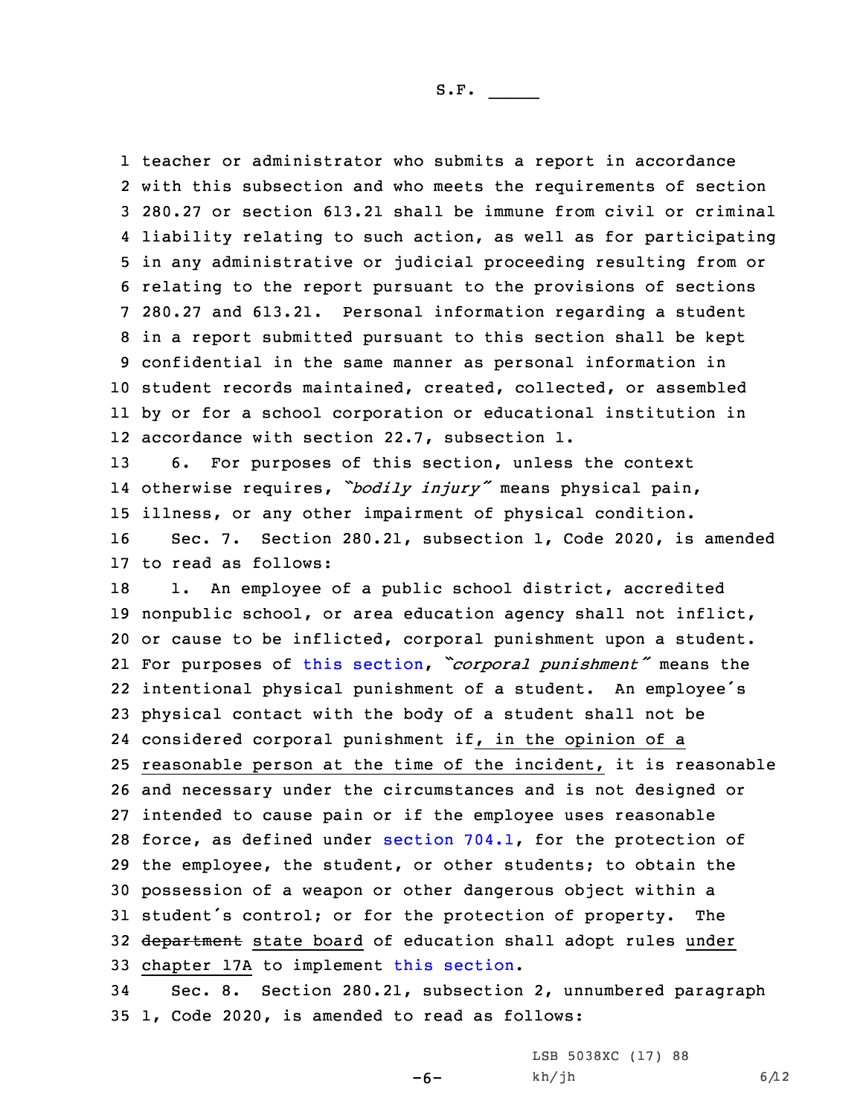teacher or administrator who submits <sup>a</sup> report in accordance with this subsection and who meets the requirements of section 280.27 or section 613.21 shall be immune from civil or criminal liability relating to such action, as well as for participating in any administrative or judicial proceeding resulting from or relating to the report pursuant to the provisions of sections 280.27 and 613.21. Personal information regarding <sup>a</sup> student in <sup>a</sup> report submitted pursuant to this section shall be kept confidential in the same manner as personal information in student records maintained, created, collected, or assembled by or for <sup>a</sup> school corporation or educational institution in accordance with section 22.7, subsection 1.

13 6. For purposes of this section, unless the context 14 otherwise requires, *"bodily injury"* means physical pain, 15 illness, or any other impairment of physical condition.

16 Sec. 7. Section 280.21, subsection 1, Code 2020, is amended 17 to read as follows:

18 1. An employee of a public school district, accredited nonpublic school, or area education agency shall not inflict, or cause to be inflicted, corporal punishment upon <sup>a</sup> student. For purposes of this [section](https://www.legis.iowa.gov/docs/code/2020/280.21.pdf), *"corporal punishment"* means the intentional physical punishment of <sup>a</sup> student. An employee's physical contact with the body of <sup>a</sup> student shall not be considered corporal punishment if, in the opinion of <sup>a</sup> reasonable person at the time of the incident, it is reasonable and necessary under the circumstances and is not designed or intended to cause pain or if the employee uses reasonable 28 force, as defined under [section](https://www.legis.iowa.gov/docs/code/2020/704.1.pdf) 704.1, for the protection of the employee, the student, or other students; to obtain the possession of <sup>a</sup> weapon or other dangerous object within <sup>a</sup> student's control; or for the protection of property. The 32 department state board of education shall adopt rules under chapter 17A to implement this [section](https://www.legis.iowa.gov/docs/code/2020/280.21.pdf).

34 Sec. 8. Section 280.21, subsection 2, unnumbered paragraph 35 1, Code 2020, is amended to read as follows:

-6-

LSB 5038XC (17) 88  $kh/jh$  6/12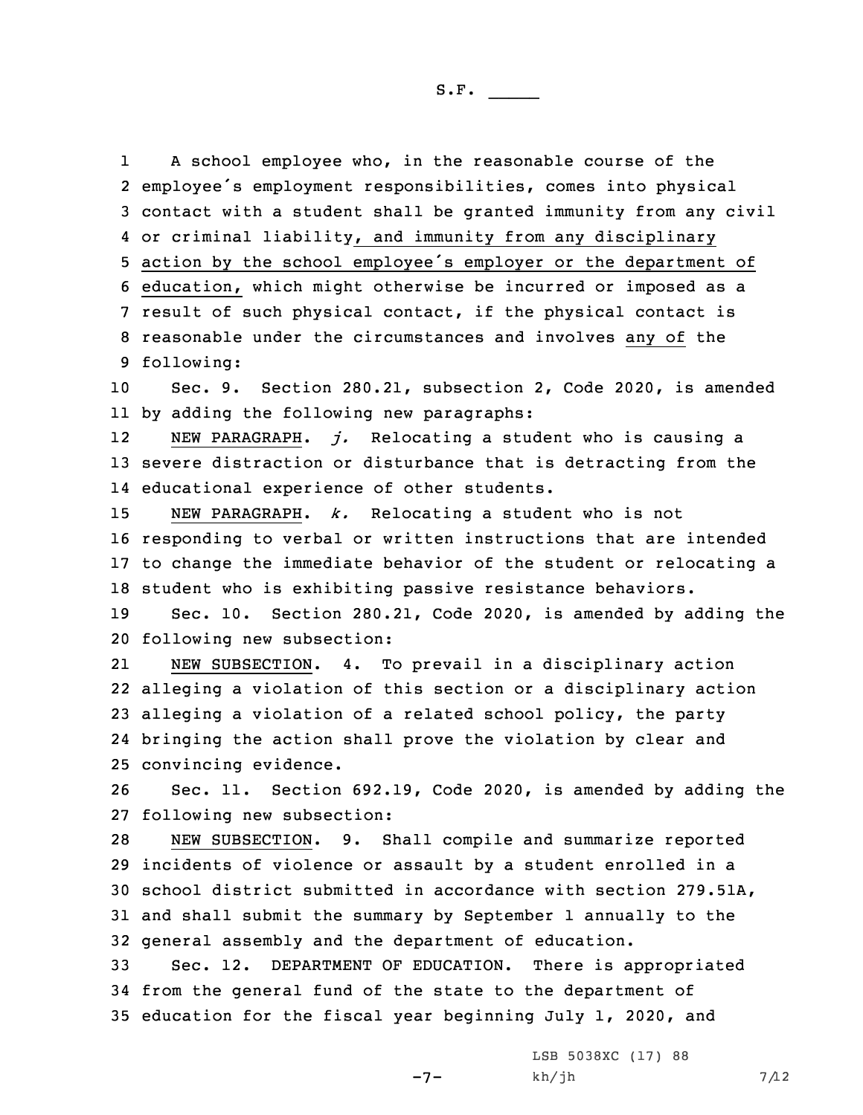1

 <sup>A</sup> school employee who, in the reasonable course of the employee's employment responsibilities, comes into physical contact with <sup>a</sup> student shall be granted immunity from any civil or criminal liability, and immunity from any disciplinary action by the school employee's employer or the department of education, which might otherwise be incurred or imposed as <sup>a</sup> result of such physical contact, if the physical contact is reasonable under the circumstances and involves any of the following: Sec. 9. Section 280.21, subsection 2, Code 2020, is amended by adding the following new paragraphs: 12 NEW PARAGRAPH. *j.* Relocating <sup>a</sup> student who is causing <sup>a</sup> severe distraction or disturbance that is detracting from the educational experience of other students. NEW PARAGRAPH. *k.* Relocating <sup>a</sup> student who is not responding to verbal or written instructions that are intended to change the immediate behavior of the student or relocating <sup>a</sup> student who is exhibiting passive resistance behaviors. Sec. 10. Section 280.21, Code 2020, is amended by adding the following new subsection: 21 NEW SUBSECTION. 4. To prevail in <sup>a</sup> disciplinary action alleging <sup>a</sup> violation of this section or <sup>a</sup> disciplinary action alleging <sup>a</sup> violation of <sup>a</sup> related school policy, the party bringing the action shall prove the violation by clear and convincing evidence. Sec. 11. Section 692.19, Code 2020, is amended by adding the following new subsection: NEW SUBSECTION. 9. Shall compile and summarize reported incidents of violence or assault by <sup>a</sup> student enrolled in <sup>a</sup> school district submitted in accordance with section 279.51A, and shall submit the summary by September 1 annually to the general assembly and the department of education. Sec. 12. DEPARTMENT OF EDUCATION. There is appropriated from the general fund of the state to the department of education for the fiscal year beginning July 1, 2020, and LSB 5038XC (17) 88

 $-7-$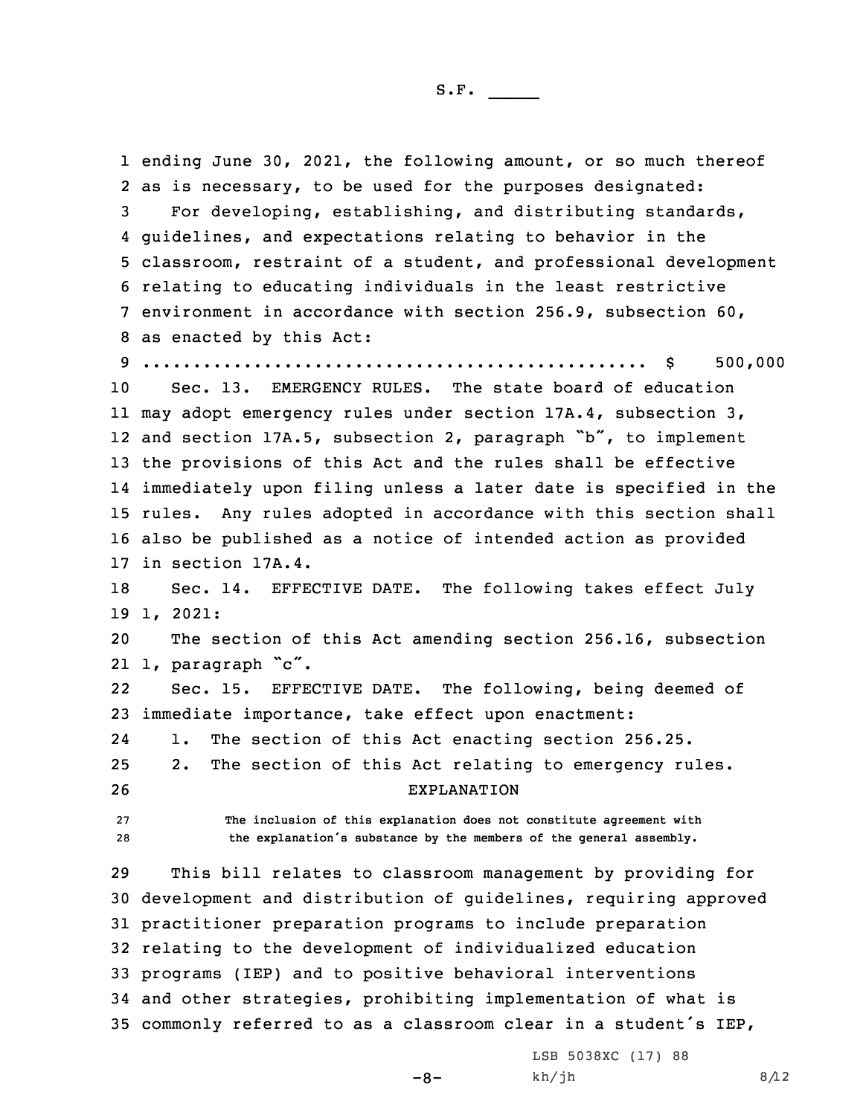ending June 30, 2021, the following amount, or so much thereof as is necessary, to be used for the purposes designated: For developing, establishing, and distributing standards, guidelines, and expectations relating to behavior in the classroom, restraint of <sup>a</sup> student, and professional development relating to educating individuals in the least restrictive environment in accordance with section 256.9, subsection 60, as enacted by this Act: .................................................. \$ 500,000

 Sec. 13. EMERGENCY RULES. The state board of education may adopt emergency rules under section 17A.4, subsection 3, and section 17A.5, subsection 2, paragraph "b", to implement the provisions of this Act and the rules shall be effective immediately upon filing unless <sup>a</sup> later date is specified in the rules. Any rules adopted in accordance with this section shall also be published as <sup>a</sup> notice of intended action as provided in section 17A.4.

18 Sec. 14. EFFECTIVE DATE. The following takes effect July 19 1, 2021:

20 The section of this Act amending section 256.16, subsection 21 1, paragraph "c".

22 Sec. 15. EFFECTIVE DATE. The following, being deemed of 23 immediate importance, take effect upon enactment:

24 1. The section of this Act enacting section 256.25. 25 2. The section of this Act relating to emergency rules. 26 EXPLANATION

27 **The inclusion of this explanation does not constitute agreement with** <sup>28</sup> **the explanation's substance by the members of the general assembly.**

 This bill relates to classroom management by providing for development and distribution of guidelines, requiring approved practitioner preparation programs to include preparation relating to the development of individualized education programs (IEP) and to positive behavioral interventions and other strategies, prohibiting implementation of what is commonly referred to as <sup>a</sup> classroom clear in <sup>a</sup> student's IEP,

 $-8-$ 

LSB 5038XC (17) 88  $kh/jh$  8/12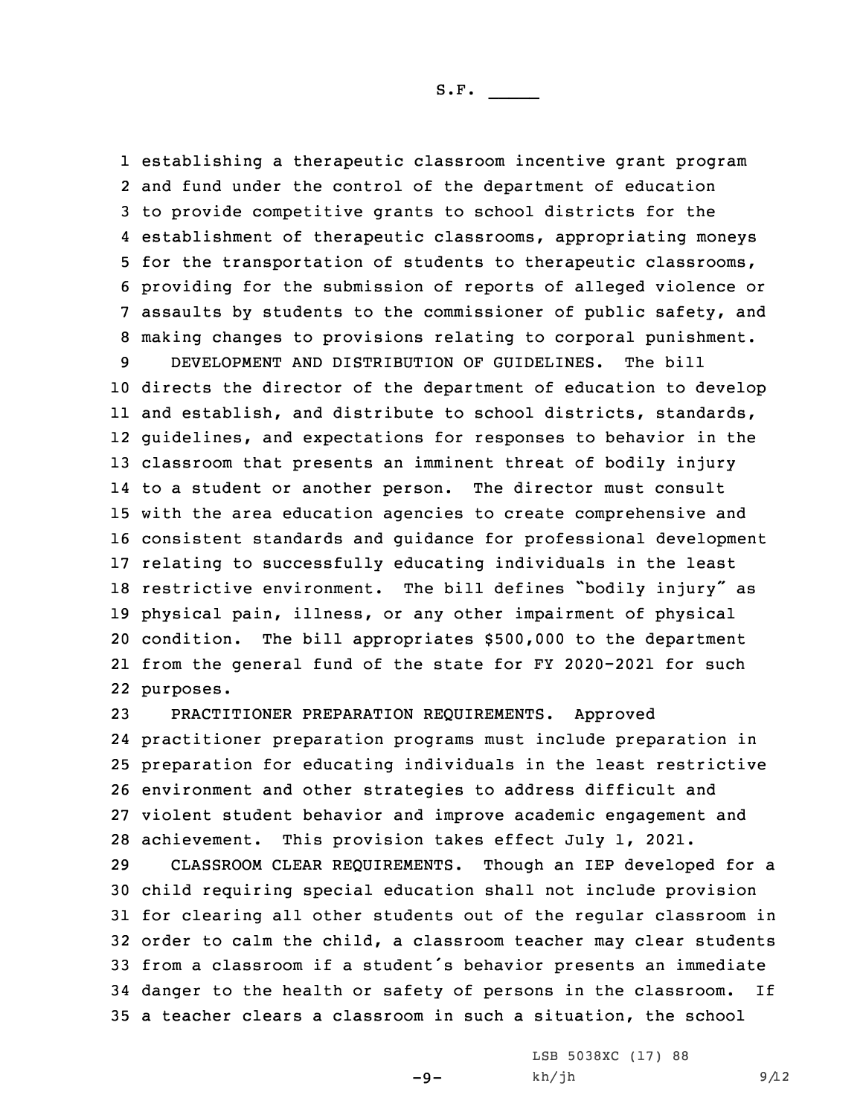establishing <sup>a</sup> therapeutic classroom incentive grant program and fund under the control of the department of education to provide competitive grants to school districts for the establishment of therapeutic classrooms, appropriating moneys for the transportation of students to therapeutic classrooms, providing for the submission of reports of alleged violence or assaults by students to the commissioner of public safety, and making changes to provisions relating to corporal punishment.

 DEVELOPMENT AND DISTRIBUTION OF GUIDELINES. The bill directs the director of the department of education to develop and establish, and distribute to school districts, standards, guidelines, and expectations for responses to behavior in the classroom that presents an imminent threat of bodily injury to <sup>a</sup> student or another person. The director must consult with the area education agencies to create comprehensive and consistent standards and guidance for professional development relating to successfully educating individuals in the least restrictive environment. The bill defines "bodily injury" as physical pain, illness, or any other impairment of physical condition. The bill appropriates \$500,000 to the department from the general fund of the state for FY 2020-2021 for such purposes.

 PRACTITIONER PREPARATION REQUIREMENTS. Approved practitioner preparation programs must include preparation in preparation for educating individuals in the least restrictive environment and other strategies to address difficult and violent student behavior and improve academic engagement and achievement. This provision takes effect July 1, 2021.

 CLASSROOM CLEAR REQUIREMENTS. Though an IEP developed for <sup>a</sup> child requiring special education shall not include provision for clearing all other students out of the regular classroom in order to calm the child, <sup>a</sup> classroom teacher may clear students from <sup>a</sup> classroom if <sup>a</sup> student's behavior presents an immediate danger to the health or safety of persons in the classroom. If <sup>a</sup> teacher clears <sup>a</sup> classroom in such <sup>a</sup> situation, the school

 $-9-$ 

LSB 5038XC (17) 88  $kh/jh$  9/12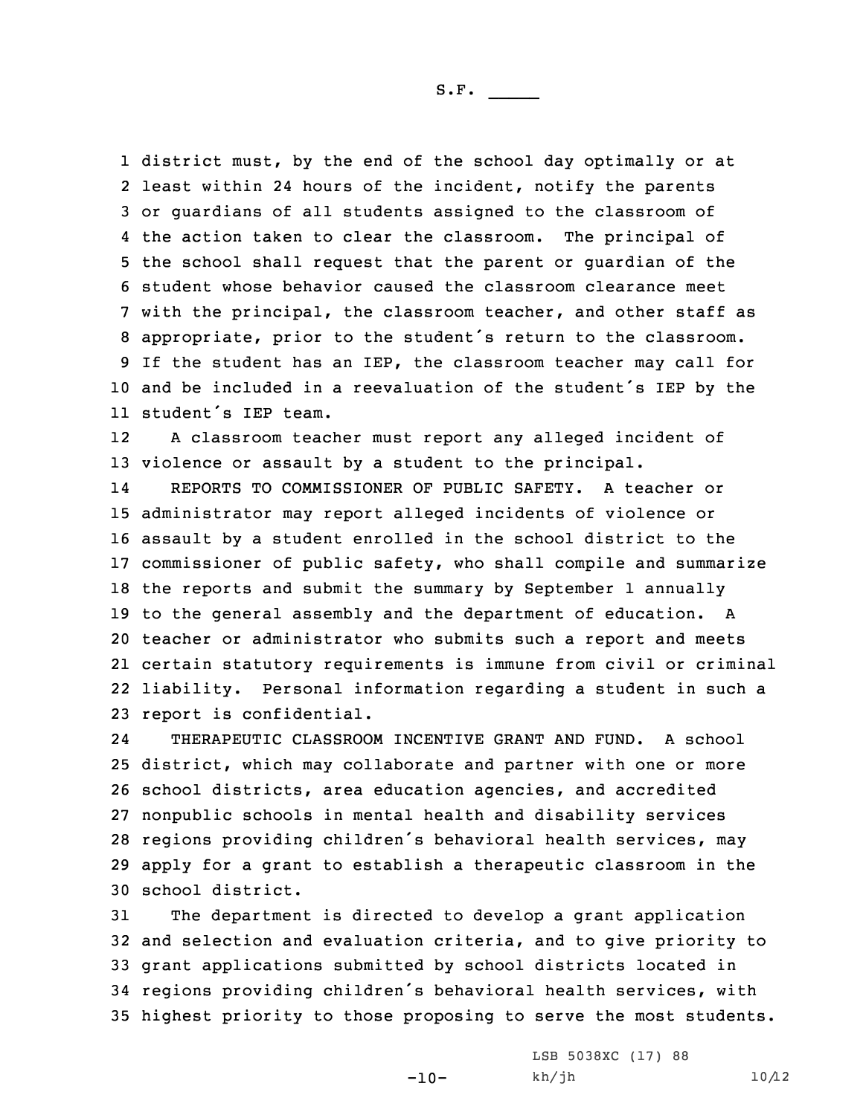district must, by the end of the school day optimally or at least within 24 hours of the incident, notify the parents or guardians of all students assigned to the classroom of the action taken to clear the classroom. The principal of the school shall request that the parent or guardian of the student whose behavior caused the classroom clearance meet with the principal, the classroom teacher, and other staff as appropriate, prior to the student's return to the classroom. If the student has an IEP, the classroom teacher may call for and be included in <sup>a</sup> reevaluation of the student's IEP by the student's IEP team.

12 <sup>A</sup> classroom teacher must report any alleged incident of 13 violence or assault by <sup>a</sup> student to the principal.

14 REPORTS TO COMMISSIONER OF PUBLIC SAFETY. A teacher or administrator may report alleged incidents of violence or assault by <sup>a</sup> student enrolled in the school district to the commissioner of public safety, who shall compile and summarize the reports and submit the summary by September 1 annually to the general assembly and the department of education. <sup>A</sup> teacher or administrator who submits such <sup>a</sup> report and meets certain statutory requirements is immune from civil or criminal liability. Personal information regarding <sup>a</sup> student in such <sup>a</sup> report is confidential.

24 THERAPEUTIC CLASSROOM INCENTIVE GRANT AND FUND. A school district, which may collaborate and partner with one or more school districts, area education agencies, and accredited nonpublic schools in mental health and disability services regions providing children's behavioral health services, may apply for <sup>a</sup> grant to establish <sup>a</sup> therapeutic classroom in the school district.

 The department is directed to develop <sup>a</sup> grant application and selection and evaluation criteria, and to give priority to grant applications submitted by school districts located in regions providing children's behavioral health services, with highest priority to those proposing to serve the most students.

-10-

LSB 5038XC (17) 88  $kh/jh$  10/12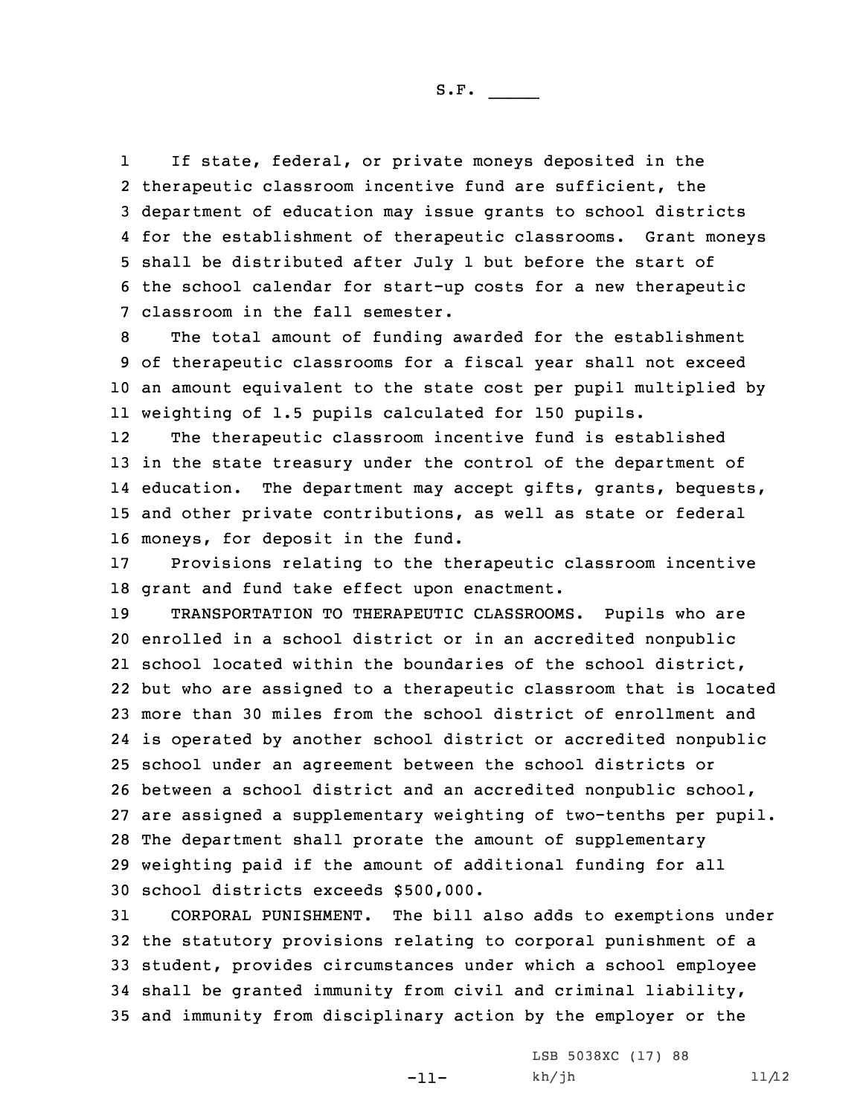1 If state, federal, or private moneys deposited in the therapeutic classroom incentive fund are sufficient, the department of education may issue grants to school districts for the establishment of therapeutic classrooms. Grant moneys shall be distributed after July 1 but before the start of the school calendar for start-up costs for <sup>a</sup> new therapeutic classroom in the fall semester.

 The total amount of funding awarded for the establishment of therapeutic classrooms for <sup>a</sup> fiscal year shall not exceed an amount equivalent to the state cost per pupil multiplied by weighting of 1.5 pupils calculated for 150 pupils.

12 The therapeutic classroom incentive fund is established in the state treasury under the control of the department of education. The department may accept gifts, grants, bequests, and other private contributions, as well as state or federal moneys, for deposit in the fund.

17 Provisions relating to the therapeutic classroom incentive 18 grant and fund take effect upon enactment.

 TRANSPORTATION TO THERAPEUTIC CLASSROOMS. Pupils who are enrolled in <sup>a</sup> school district or in an accredited nonpublic school located within the boundaries of the school district, but who are assigned to <sup>a</sup> therapeutic classroom that is located more than 30 miles from the school district of enrollment and is operated by another school district or accredited nonpublic school under an agreement between the school districts or between <sup>a</sup> school district and an accredited nonpublic school, are assigned <sup>a</sup> supplementary weighting of two-tenths per pupil. The department shall prorate the amount of supplementary weighting paid if the amount of additional funding for all school districts exceeds \$500,000.

 CORPORAL PUNISHMENT. The bill also adds to exemptions under the statutory provisions relating to corporal punishment of <sup>a</sup> student, provides circumstances under which <sup>a</sup> school employee shall be granted immunity from civil and criminal liability, and immunity from disciplinary action by the employer or the

-11-

LSB 5038XC (17) 88  $kh/jh$  11/12